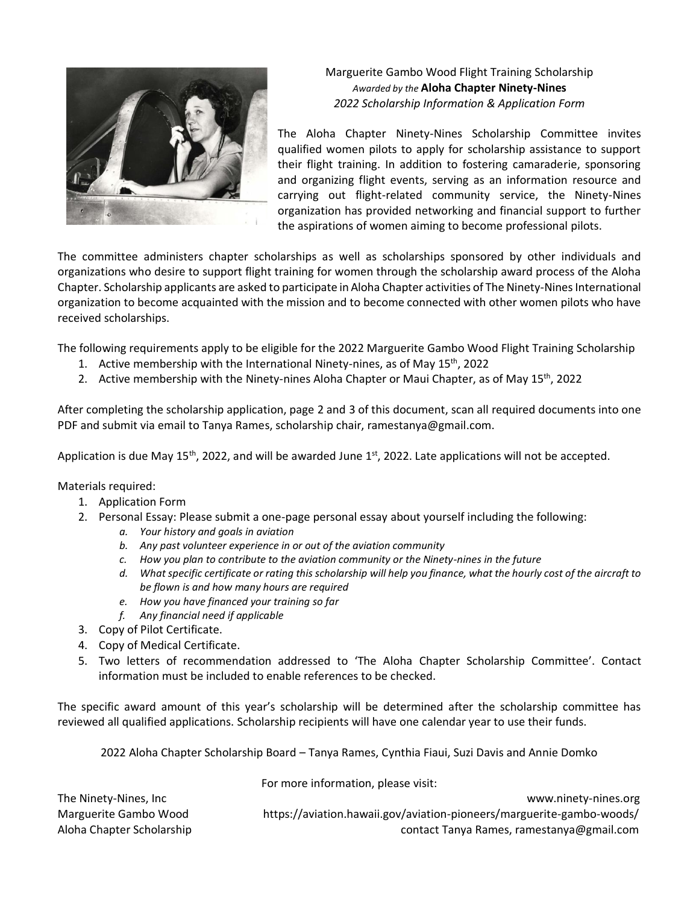

Marguerite Gambo Wood Flight Training Scholarship *Awarded by the* **Aloha Chapter Ninety-Nines** *2022 Scholarship Information & Application Form*

The Aloha Chapter Ninety-Nines Scholarship Committee invites qualified women pilots to apply for scholarship assistance to support their flight training. In addition to fostering camaraderie, sponsoring and organizing flight events, serving as an information resource and carrying out flight-related community service, the Ninety-Nines organization has provided networking and financial support to further the aspirations of women aiming to become professional pilots.

The committee administers chapter scholarships as well as scholarships sponsored by other individuals and organizations who desire to support flight training for women through the scholarship award process of the Aloha Chapter. Scholarship applicants are asked to participate in Aloha Chapter activities of The Ninety-Nines International organization to become acquainted with the mission and to become connected with other women pilots who have received scholarships.

The following requirements apply to be eligible for the 2022 Marguerite Gambo Wood Flight Training Scholarship

- 1. Active membership with the International Ninety-nines, as of May  $15<sup>th</sup>$ , 2022
- 2. Active membership with the Ninety-nines Aloha Chapter or Maui Chapter, as of May 15<sup>th</sup>, 2022

After completing the scholarship application, page 2 and 3 of this document, scan all required documents into one PDF and submit via email to Tanya Rames, scholarship chair, ramestanya@gmail.com.

Application is due May 15<sup>th</sup>, 2022, and will be awarded June 1st, 2022. Late applications will not be accepted.

Materials required:

- 1. Application Form
- 2. Personal Essay: Please submit a one-page personal essay about yourself including the following:
	- *a. Your history and goals in aviation*
	- *b. Any past volunteer experience in or out of the aviation community*
	- *c. How you plan to contribute to the aviation community or the Ninety-nines in the future*
	- *d. What specific certificate or rating this scholarship will help you finance, what the hourly cost of the aircraft to be flown is and how many hours are required*
	- *e. How you have financed your training so far*
	- *f. Any financial need if applicable*
- 3. Copy of Pilot Certificate.
- 4. Copy of Medical Certificate.
- 5. Two letters of recommendation addressed to 'The Aloha Chapter Scholarship Committee'. Contact information must be included to enable references to be checked.

The specific award amount of this year's scholarship will be determined after the scholarship committee has reviewed all qualified applications. Scholarship recipients will have one calendar year to use their funds.

2022 Aloha Chapter Scholarship Board – Tanya Rames, Cynthia Fiaui, Suzi Davis and Annie Domko

|                           | TOT THOTC INTOITING COINT PICASE VISIT.                               |
|---------------------------|-----------------------------------------------------------------------|
| The Ninety-Nines, Inc     | www.ninety-nines.org                                                  |
| Marguerite Gambo Wood     | https://aviation.hawaii.gov/aviation-pioneers/marguerite-gambo-woods/ |
| Aloha Chapter Scholarship | contact Tanya Rames, ramestanya@gmail.com                             |

For more information, please visit: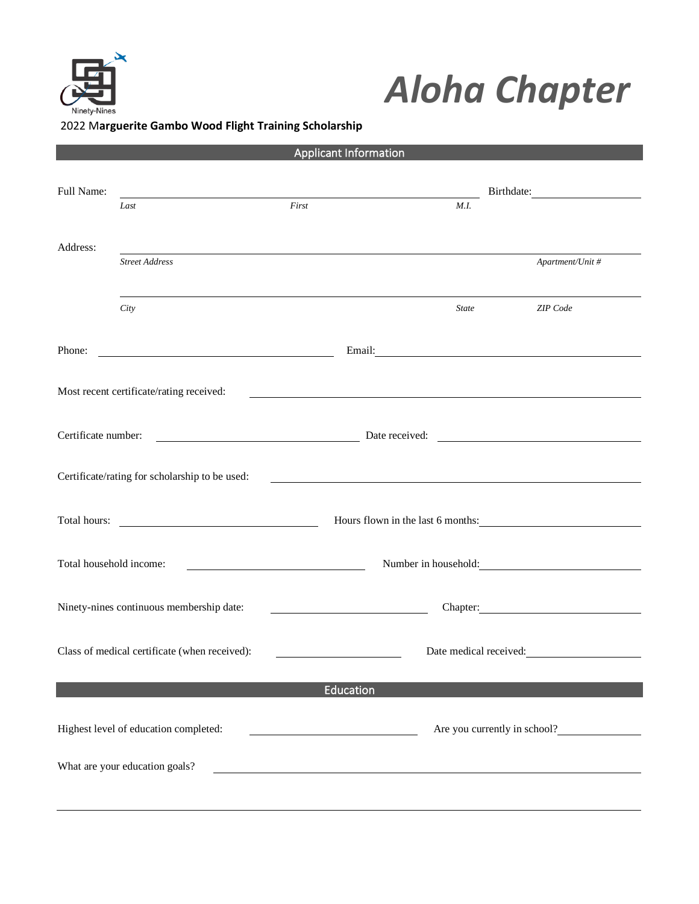

## *Aloha Chapter*

## 2022 M**arguerite Gambo Wood Flight Training Scholarship**

| <b>Applicant Information</b> |                                                |           |                                                                                                                                                                                                                                |                              |  |  |
|------------------------------|------------------------------------------------|-----------|--------------------------------------------------------------------------------------------------------------------------------------------------------------------------------------------------------------------------------|------------------------------|--|--|
| Full Name:                   | Last                                           | First     | M.I.                                                                                                                                                                                                                           |                              |  |  |
| Address:                     | <b>Street Address</b>                          |           |                                                                                                                                                                                                                                | Apartment/Unit #             |  |  |
|                              | City                                           |           | <b>State</b>                                                                                                                                                                                                                   | ZIP Code                     |  |  |
| Phone:                       |                                                |           | Email: expansion of the contract of the contract of the contract of the contract of the contract of the contract of the contract of the contract of the contract of the contract of the contract of the contract of the contra |                              |  |  |
|                              | Most recent certificate/rating received:       |           |                                                                                                                                                                                                                                |                              |  |  |
| Certificate number:          | Date received:                                 |           |                                                                                                                                                                                                                                |                              |  |  |
|                              | Certificate/rating for scholarship to be used: |           | <u> 1989 - Johann Barbara, martin amerikan basar dan berasal dalam basa dalam basar dalam basar dalam basar dala</u>                                                                                                           |                              |  |  |
|                              |                                                |           | Hours flown in the last 6 months:                                                                                                                                                                                              |                              |  |  |
| Total household income:      |                                                |           | Number in household:                                                                                                                                                                                                           |                              |  |  |
|                              | Ninety-nines continuous membership date:       |           |                                                                                                                                                                                                                                | Chapter:                     |  |  |
|                              | Class of medical certificate (when received):  |           | Date medical received:                                                                                                                                                                                                         |                              |  |  |
|                              |                                                | Education |                                                                                                                                                                                                                                |                              |  |  |
|                              | Highest level of education completed:          |           |                                                                                                                                                                                                                                | Are you currently in school? |  |  |
|                              | What are your education goals?                 |           |                                                                                                                                                                                                                                |                              |  |  |